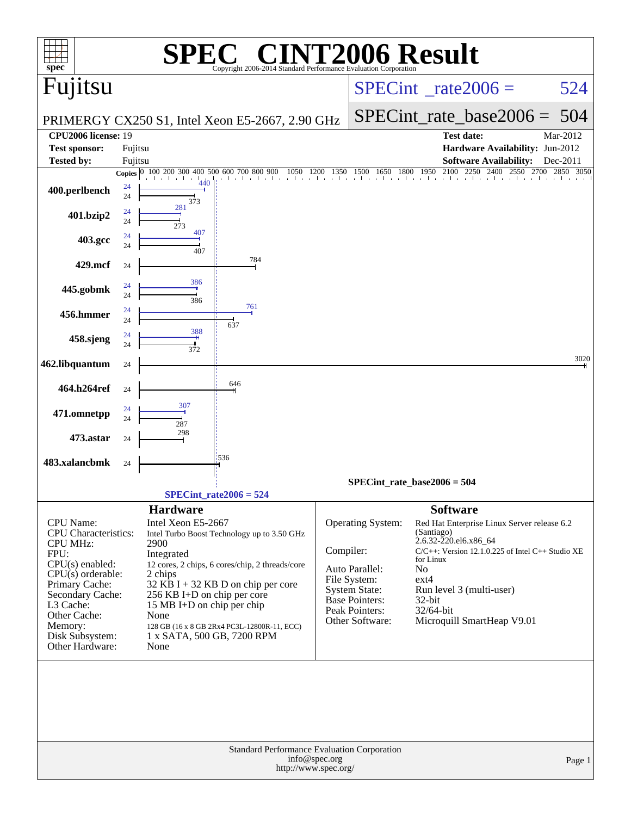| $spec^*$                                                                                                                                                                                                                            |          |                                                                                                                                                                                   | $\P(\overline{R})$<br>Copyright 2006-2014 Standard Performance Evaluation Corporation                                                                                                 |               |                                                                                                                             | <b>VT2006 Result</b>                                                                                                                                                                                                                                                                       |                          |
|-------------------------------------------------------------------------------------------------------------------------------------------------------------------------------------------------------------------------------------|----------|-----------------------------------------------------------------------------------------------------------------------------------------------------------------------------------|---------------------------------------------------------------------------------------------------------------------------------------------------------------------------------------|---------------|-----------------------------------------------------------------------------------------------------------------------------|--------------------------------------------------------------------------------------------------------------------------------------------------------------------------------------------------------------------------------------------------------------------------------------------|--------------------------|
| Fujitsu                                                                                                                                                                                                                             |          |                                                                                                                                                                                   |                                                                                                                                                                                       |               |                                                                                                                             | $SPECint^{\circ}$ rate $2006 =$                                                                                                                                                                                                                                                            | 524                      |
|                                                                                                                                                                                                                                     |          |                                                                                                                                                                                   | PRIMERGY CX250 S1, Intel Xeon E5-2667, 2.90 GHz                                                                                                                                       |               |                                                                                                                             | $SPECint_rate\_base2006 =$                                                                                                                                                                                                                                                                 | 504                      |
| <b>CPU2006 license: 19</b>                                                                                                                                                                                                          |          |                                                                                                                                                                                   |                                                                                                                                                                                       |               |                                                                                                                             | <b>Test date:</b>                                                                                                                                                                                                                                                                          | Mar-2012                 |
| <b>Test sponsor:</b>                                                                                                                                                                                                                | Fujitsu  |                                                                                                                                                                                   |                                                                                                                                                                                       |               |                                                                                                                             | Hardware Availability: Jun-2012                                                                                                                                                                                                                                                            |                          |
| Tested by:                                                                                                                                                                                                                          | Fujitsu  | Copies 0 100 200 300 400 500 600 700 800 900                                                                                                                                      | 1050                                                                                                                                                                                  | 1200<br>1350  | 1800<br>1500<br>1650                                                                                                        | <b>Software Availability:</b><br>2100<br>1950<br>2250<br>2400<br>2550<br>2700                                                                                                                                                                                                              | Dec-2011<br>2850<br>3050 |
| 400.perlbench                                                                                                                                                                                                                       | 24<br>24 | 440<br>373                                                                                                                                                                        |                                                                                                                                                                                       |               |                                                                                                                             | and and and and                                                                                                                                                                                                                                                                            |                          |
| 401.bzip2                                                                                                                                                                                                                           | 24<br>24 | 281<br>273                                                                                                                                                                        |                                                                                                                                                                                       |               |                                                                                                                             |                                                                                                                                                                                                                                                                                            |                          |
| 403.gcc                                                                                                                                                                                                                             | 24<br>24 | 407<br>407                                                                                                                                                                        |                                                                                                                                                                                       |               |                                                                                                                             |                                                                                                                                                                                                                                                                                            |                          |
| 429.mcf                                                                                                                                                                                                                             | 24       |                                                                                                                                                                                   | 784                                                                                                                                                                                   |               |                                                                                                                             |                                                                                                                                                                                                                                                                                            |                          |
| 445.gobmk                                                                                                                                                                                                                           | 24<br>24 | 386<br>386                                                                                                                                                                        |                                                                                                                                                                                       |               |                                                                                                                             |                                                                                                                                                                                                                                                                                            |                          |
| 456.hmmer                                                                                                                                                                                                                           | 24<br>24 |                                                                                                                                                                                   | 761<br>637                                                                                                                                                                            |               |                                                                                                                             |                                                                                                                                                                                                                                                                                            |                          |
| 458.sjeng                                                                                                                                                                                                                           | 24<br>24 | 388<br>372                                                                                                                                                                        |                                                                                                                                                                                       |               |                                                                                                                             |                                                                                                                                                                                                                                                                                            |                          |
| 462.libquantum                                                                                                                                                                                                                      | 24       |                                                                                                                                                                                   |                                                                                                                                                                                       |               |                                                                                                                             |                                                                                                                                                                                                                                                                                            | 3020                     |
| 464.h264ref                                                                                                                                                                                                                         | 24       |                                                                                                                                                                                   | 646                                                                                                                                                                                   |               |                                                                                                                             |                                                                                                                                                                                                                                                                                            |                          |
| 471.omnetpp                                                                                                                                                                                                                         | 24<br>24 | 287                                                                                                                                                                               |                                                                                                                                                                                       |               |                                                                                                                             |                                                                                                                                                                                                                                                                                            |                          |
| 473.astar                                                                                                                                                                                                                           | 24       | 298                                                                                                                                                                               |                                                                                                                                                                                       |               |                                                                                                                             |                                                                                                                                                                                                                                                                                            |                          |
| 483.xalancbmk                                                                                                                                                                                                                       | 24       |                                                                                                                                                                                   | 1536                                                                                                                                                                                  |               |                                                                                                                             |                                                                                                                                                                                                                                                                                            |                          |
|                                                                                                                                                                                                                                     |          |                                                                                                                                                                                   |                                                                                                                                                                                       |               |                                                                                                                             | $SPECint_rate_base2006 = 504$                                                                                                                                                                                                                                                              |                          |
|                                                                                                                                                                                                                                     |          |                                                                                                                                                                                   | $SPECint_rate2006 = 524$                                                                                                                                                              |               |                                                                                                                             |                                                                                                                                                                                                                                                                                            |                          |
| CPU Name:<br><b>CPU</b> Characteristics:<br><b>CPU MHz:</b><br>FPU:<br>$CPU(s)$ enabled:<br>$CPU(s)$ orderable:<br>Primary Cache:<br>Secondary Cache:<br>L3 Cache:<br>Other Cache:<br>Memory:<br>Disk Subsystem:<br>Other Hardware: |          | <b>Hardware</b><br>Intel Xeon E5-2667<br>2900<br>Integrated<br>2 chips<br>256 KB I+D on chip per core<br>15 MB I+D on chip per chip<br>None<br>1 x SATA, 500 GB, 7200 RPM<br>None | Intel Turbo Boost Technology up to 3.50 GHz<br>12 cores, 2 chips, 6 cores/chip, 2 threads/core<br>$32$ KB I + 32 KB D on chip per core<br>128 GB (16 x 8 GB 2Rx4 PC3L-12800R-11, ECC) | Compiler:     | Operating System:<br>Auto Parallel:<br>File System:<br>System State:<br>Base Pointers:<br>Peak Pointers:<br>Other Software: | <b>Software</b><br>Red Hat Enterprise Linux Server release 6.2<br>(Santiago)<br>2.6.32-220.el6.x86_64<br>$C/C++$ : Version 12.1.0.225 of Intel $C++$ Studio XE<br>for Linux<br>N <sub>0</sub><br>$ext{4}$<br>Run level 3 (multi-user)<br>32-bit<br>32/64-bit<br>Microquill SmartHeap V9.01 |                          |
|                                                                                                                                                                                                                                     |          |                                                                                                                                                                                   | Standard Performance Evaluation Corporation<br>http://www.spec.org/                                                                                                                   | info@spec.org |                                                                                                                             |                                                                                                                                                                                                                                                                                            | Page 1                   |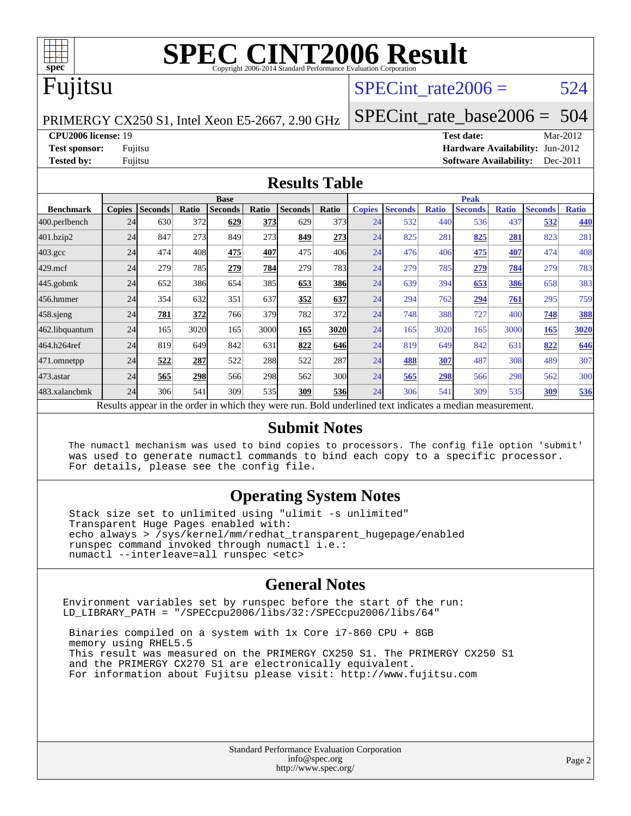

# Fujitsu

## SPECint rate $2006 = 524$

PRIMERGY CX250 S1, Intel Xeon E5-2667, 2.90 GHz

[SPECint\\_rate\\_base2006 =](http://www.spec.org/auto/cpu2006/Docs/result-fields.html#SPECintratebase2006) 504

**[CPU2006 license:](http://www.spec.org/auto/cpu2006/Docs/result-fields.html#CPU2006license)** 19 **[Test date:](http://www.spec.org/auto/cpu2006/Docs/result-fields.html#Testdate)** Mar-2012

**[Test sponsor:](http://www.spec.org/auto/cpu2006/Docs/result-fields.html#Testsponsor)** Fujitsu **[Hardware Availability:](http://www.spec.org/auto/cpu2006/Docs/result-fields.html#HardwareAvailability)** Jun-2012 **[Tested by:](http://www.spec.org/auto/cpu2006/Docs/result-fields.html#Testedby)** Fujitsu **[Software Availability:](http://www.spec.org/auto/cpu2006/Docs/result-fields.html#SoftwareAvailability)** Dec-2011

#### **[Results Table](http://www.spec.org/auto/cpu2006/Docs/result-fields.html#ResultsTable)**

|                                                                                                          | <b>Base</b>   |                |       |                |       | <b>Peak</b>    |            |               |                |              |                |              |                |              |
|----------------------------------------------------------------------------------------------------------|---------------|----------------|-------|----------------|-------|----------------|------------|---------------|----------------|--------------|----------------|--------------|----------------|--------------|
| <b>Benchmark</b>                                                                                         | <b>Copies</b> | <b>Seconds</b> | Ratio | <b>Seconds</b> | Ratio | <b>Seconds</b> | Ratio      | <b>Copies</b> | <b>Seconds</b> | <b>Ratio</b> | <b>Seconds</b> | <b>Ratio</b> | <b>Seconds</b> | <b>Ratio</b> |
| 400.perlbench                                                                                            | 24            | 630            | 372   | 629            | 373   | 629            | 373        | 24            | 532            | 440          | 536            | 437          | 532            | 440          |
| 401.bzip2                                                                                                | 24            | 847            | 273   | 849            | 273   | 849            | 273        | 24            | 825            | 281          | 825            | 281          | 823            | 281          |
| $403.\mathrm{gcc}$                                                                                       | 24            | 474            | 408   | 475            | 407   | 475            | 406        | 24            | 476            | 406          | 475            | 407          | 474            | 408          |
| $429$ .mcf                                                                                               | 24            | 279            | 785   | 279            | 784   | 279            | 783        | 24            | 279            | 785          | 279            | 784          | 279            | 783          |
| $445$ .gobmk                                                                                             | 24            | 652            | 386   | 654            | 385   | 653            | <u>386</u> | 24            | 639            | 394          | 653            | 386          | 658            | 383          |
| 456.hmmer                                                                                                | 24            | 354            | 632   | 351            | 637   | 352            | 637        | 24            | 294            | 762          | 294            | 761          | 295            | 759          |
| 458 sjeng                                                                                                | 24            | 781            | 372   | 766            | 379   | 782            | 372        | 24            | 748            | 388          | 727            | 400          | 748            | <b>388</b>   |
| 462.libquantum                                                                                           | 24            | 165            | 3020  | 165            | 3000  | 165            | 3020       | 24            | 165            | 3020         | 165            | 3000         | 165            | 3020         |
| 464.h264ref                                                                                              | 24            | 819            | 649   | 842            | 631   | 822            | 646        | 24            | 819            | 649          | 842            | 631          | 822            | 646          |
| 471.omnetpp                                                                                              | 24            | 522            | 287   | 522            | 288   | 522            | 287        | 24            | 488            | 307          | 487            | 308          | 489            | 307          |
| $473.$ astar                                                                                             | 24            | 565            | 298   | 566            | 298   | 562            | 300        | 24            | 565            | 298          | 566            | 298          | 562            | 300          |
| 483.xalancbmk                                                                                            | 24            | 306            | 541   | 309            | 535   | 309            | 536        | 24            | 306            | 541          | 309            | 535          | 309            | 536          |
| Results appear in the order in which they were run. Bold underlined text indicates a median measurement. |               |                |       |                |       |                |            |               |                |              |                |              |                |              |

#### **[Submit Notes](http://www.spec.org/auto/cpu2006/Docs/result-fields.html#SubmitNotes)**

 The numactl mechanism was used to bind copies to processors. The config file option 'submit' was used to generate numactl commands to bind each copy to a specific processor. For details, please see the config file.

### **[Operating System Notes](http://www.spec.org/auto/cpu2006/Docs/result-fields.html#OperatingSystemNotes)**

 Stack size set to unlimited using "ulimit -s unlimited" Transparent Huge Pages enabled with: echo always > /sys/kernel/mm/redhat\_transparent\_hugepage/enabled runspec command invoked through numactl i.e.: numactl --interleave=all runspec <etc>

#### **[General Notes](http://www.spec.org/auto/cpu2006/Docs/result-fields.html#GeneralNotes)**

Environment variables set by runspec before the start of the run: LD\_LIBRARY\_PATH = "/SPECcpu2006/libs/32:/SPECcpu2006/libs/64"

 Binaries compiled on a system with 1x Core i7-860 CPU + 8GB memory using RHEL5.5 This result was measured on the PRIMERGY CX250 S1. The PRIMERGY CX250 S1 and the PRIMERGY CX270 S1 are electronically equivalent. For information about Fujitsu please visit: <http://www.fujitsu.com>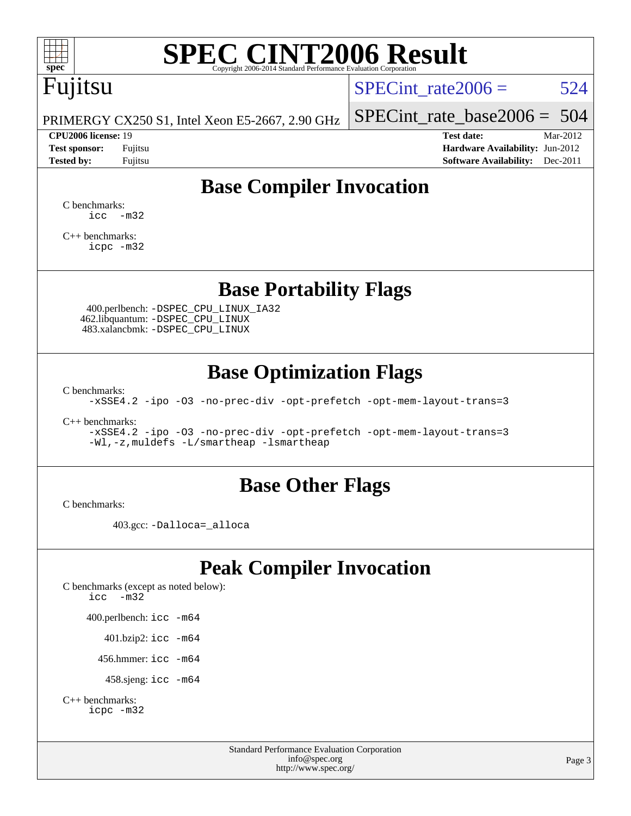

# Fujitsu

SPECint rate $2006 = 524$ 

PRIMERGY CX250 S1, Intel Xeon E5-2667, 2.90 GHz

#### **[CPU2006 license:](http://www.spec.org/auto/cpu2006/Docs/result-fields.html#CPU2006license)** 19 **[Test date:](http://www.spec.org/auto/cpu2006/Docs/result-fields.html#Testdate)** Mar-2012

[SPECint\\_rate\\_base2006 =](http://www.spec.org/auto/cpu2006/Docs/result-fields.html#SPECintratebase2006) 504

**[Test sponsor:](http://www.spec.org/auto/cpu2006/Docs/result-fields.html#Testsponsor)** Fujitsu **[Hardware Availability:](http://www.spec.org/auto/cpu2006/Docs/result-fields.html#HardwareAvailability)** Jun-2012 **[Tested by:](http://www.spec.org/auto/cpu2006/Docs/result-fields.html#Testedby)** Fujitsu **Fugital Example 2011 [Software Availability:](http://www.spec.org/auto/cpu2006/Docs/result-fields.html#SoftwareAvailability)** Dec-2011

# **[Base Compiler Invocation](http://www.spec.org/auto/cpu2006/Docs/result-fields.html#BaseCompilerInvocation)**

[C benchmarks](http://www.spec.org/auto/cpu2006/Docs/result-fields.html#Cbenchmarks):  $\text{icc}$   $-\text{m32}$ 

[C++ benchmarks:](http://www.spec.org/auto/cpu2006/Docs/result-fields.html#CXXbenchmarks) [icpc -m32](http://www.spec.org/cpu2006/results/res2012q3/cpu2006-20120605-22831.flags.html#user_CXXbase_intel_icpc_4e5a5ef1a53fd332b3c49e69c3330699)

## **[Base Portability Flags](http://www.spec.org/auto/cpu2006/Docs/result-fields.html#BasePortabilityFlags)**

 400.perlbench: [-DSPEC\\_CPU\\_LINUX\\_IA32](http://www.spec.org/cpu2006/results/res2012q3/cpu2006-20120605-22831.flags.html#b400.perlbench_baseCPORTABILITY_DSPEC_CPU_LINUX_IA32) 462.libquantum: [-DSPEC\\_CPU\\_LINUX](http://www.spec.org/cpu2006/results/res2012q3/cpu2006-20120605-22831.flags.html#b462.libquantum_baseCPORTABILITY_DSPEC_CPU_LINUX) 483.xalancbmk: [-DSPEC\\_CPU\\_LINUX](http://www.spec.org/cpu2006/results/res2012q3/cpu2006-20120605-22831.flags.html#b483.xalancbmk_baseCXXPORTABILITY_DSPEC_CPU_LINUX)

# **[Base Optimization Flags](http://www.spec.org/auto/cpu2006/Docs/result-fields.html#BaseOptimizationFlags)**

[C benchmarks](http://www.spec.org/auto/cpu2006/Docs/result-fields.html#Cbenchmarks):

[-xSSE4.2](http://www.spec.org/cpu2006/results/res2012q3/cpu2006-20120605-22831.flags.html#user_CCbase_f-xSSE42_f91528193cf0b216347adb8b939d4107) [-ipo](http://www.spec.org/cpu2006/results/res2012q3/cpu2006-20120605-22831.flags.html#user_CCbase_f-ipo) [-O3](http://www.spec.org/cpu2006/results/res2012q3/cpu2006-20120605-22831.flags.html#user_CCbase_f-O3) [-no-prec-div](http://www.spec.org/cpu2006/results/res2012q3/cpu2006-20120605-22831.flags.html#user_CCbase_f-no-prec-div) [-opt-prefetch](http://www.spec.org/cpu2006/results/res2012q3/cpu2006-20120605-22831.flags.html#user_CCbase_f-opt-prefetch) [-opt-mem-layout-trans=3](http://www.spec.org/cpu2006/results/res2012q3/cpu2006-20120605-22831.flags.html#user_CCbase_f-opt-mem-layout-trans_a7b82ad4bd7abf52556d4961a2ae94d5)

[C++ benchmarks:](http://www.spec.org/auto/cpu2006/Docs/result-fields.html#CXXbenchmarks)

[-xSSE4.2](http://www.spec.org/cpu2006/results/res2012q3/cpu2006-20120605-22831.flags.html#user_CXXbase_f-xSSE42_f91528193cf0b216347adb8b939d4107) [-ipo](http://www.spec.org/cpu2006/results/res2012q3/cpu2006-20120605-22831.flags.html#user_CXXbase_f-ipo) [-O3](http://www.spec.org/cpu2006/results/res2012q3/cpu2006-20120605-22831.flags.html#user_CXXbase_f-O3) [-no-prec-div](http://www.spec.org/cpu2006/results/res2012q3/cpu2006-20120605-22831.flags.html#user_CXXbase_f-no-prec-div) [-opt-prefetch](http://www.spec.org/cpu2006/results/res2012q3/cpu2006-20120605-22831.flags.html#user_CXXbase_f-opt-prefetch) [-opt-mem-layout-trans=3](http://www.spec.org/cpu2006/results/res2012q3/cpu2006-20120605-22831.flags.html#user_CXXbase_f-opt-mem-layout-trans_a7b82ad4bd7abf52556d4961a2ae94d5) [-Wl,-z,muldefs](http://www.spec.org/cpu2006/results/res2012q3/cpu2006-20120605-22831.flags.html#user_CXXbase_link_force_multiple1_74079c344b956b9658436fd1b6dd3a8a) [-L/smartheap -lsmartheap](http://www.spec.org/cpu2006/results/res2012q3/cpu2006-20120605-22831.flags.html#user_CXXbase_SmartHeap_7c9e394a5779e1a7fec7c221e123830c)

## **[Base Other Flags](http://www.spec.org/auto/cpu2006/Docs/result-fields.html#BaseOtherFlags)**

[C benchmarks](http://www.spec.org/auto/cpu2006/Docs/result-fields.html#Cbenchmarks):

403.gcc: [-Dalloca=\\_alloca](http://www.spec.org/cpu2006/results/res2012q3/cpu2006-20120605-22831.flags.html#b403.gcc_baseEXTRA_CFLAGS_Dalloca_be3056838c12de2578596ca5467af7f3)

# **[Peak Compiler Invocation](http://www.spec.org/auto/cpu2006/Docs/result-fields.html#PeakCompilerInvocation)**

[C benchmarks \(except as noted below\)](http://www.spec.org/auto/cpu2006/Docs/result-fields.html#Cbenchmarksexceptasnotedbelow): [icc -m32](http://www.spec.org/cpu2006/results/res2012q3/cpu2006-20120605-22831.flags.html#user_CCpeak_intel_icc_5ff4a39e364c98233615fdd38438c6f2) 400.perlbench: [icc -m64](http://www.spec.org/cpu2006/results/res2012q3/cpu2006-20120605-22831.flags.html#user_peakCCLD400_perlbench_intel_icc_64bit_bda6cc9af1fdbb0edc3795bac97ada53) 401.bzip2: [icc -m64](http://www.spec.org/cpu2006/results/res2012q3/cpu2006-20120605-22831.flags.html#user_peakCCLD401_bzip2_intel_icc_64bit_bda6cc9af1fdbb0edc3795bac97ada53)

456.hmmer: [icc -m64](http://www.spec.org/cpu2006/results/res2012q3/cpu2006-20120605-22831.flags.html#user_peakCCLD456_hmmer_intel_icc_64bit_bda6cc9af1fdbb0edc3795bac97ada53)

458.sjeng: [icc -m64](http://www.spec.org/cpu2006/results/res2012q3/cpu2006-20120605-22831.flags.html#user_peakCCLD458_sjeng_intel_icc_64bit_bda6cc9af1fdbb0edc3795bac97ada53)

```
C++ benchmarks: 
icpc -m32
```
Standard Performance Evaluation Corporation [info@spec.org](mailto:info@spec.org) <http://www.spec.org/>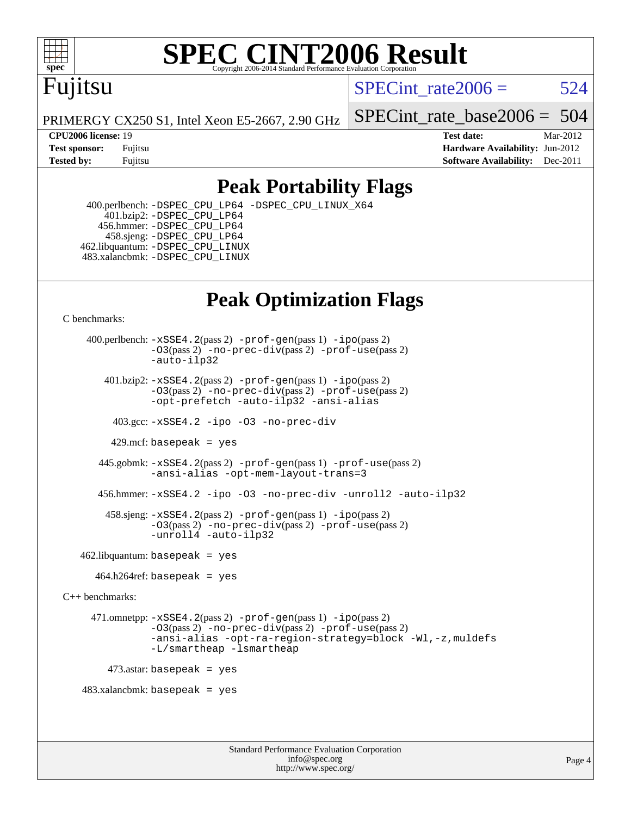

# Fujitsu

SPECint rate $2006 = 524$ 

PRIMERGY CX250 S1, Intel Xeon E5-2667, 2.90 GHz

SPECint rate base2006 =  $504$ 

**[CPU2006 license:](http://www.spec.org/auto/cpu2006/Docs/result-fields.html#CPU2006license)** 19 **[Test date:](http://www.spec.org/auto/cpu2006/Docs/result-fields.html#Testdate)** Mar-2012 **[Test sponsor:](http://www.spec.org/auto/cpu2006/Docs/result-fields.html#Testsponsor)** Fujitsu **[Hardware Availability:](http://www.spec.org/auto/cpu2006/Docs/result-fields.html#HardwareAvailability)** Jun-2012 **[Tested by:](http://www.spec.org/auto/cpu2006/Docs/result-fields.html#Testedby)** Fujitsu **Fugital Example 2011 [Software Availability:](http://www.spec.org/auto/cpu2006/Docs/result-fields.html#SoftwareAvailability)** Dec-2011

# **[Peak Portability Flags](http://www.spec.org/auto/cpu2006/Docs/result-fields.html#PeakPortabilityFlags)**

 400.perlbench: [-DSPEC\\_CPU\\_LP64](http://www.spec.org/cpu2006/results/res2012q3/cpu2006-20120605-22831.flags.html#b400.perlbench_peakCPORTABILITY_DSPEC_CPU_LP64) [-DSPEC\\_CPU\\_LINUX\\_X64](http://www.spec.org/cpu2006/results/res2012q3/cpu2006-20120605-22831.flags.html#b400.perlbench_peakCPORTABILITY_DSPEC_CPU_LINUX_X64) 401.bzip2: [-DSPEC\\_CPU\\_LP64](http://www.spec.org/cpu2006/results/res2012q3/cpu2006-20120605-22831.flags.html#suite_peakCPORTABILITY401_bzip2_DSPEC_CPU_LP64) 456.hmmer: [-DSPEC\\_CPU\\_LP64](http://www.spec.org/cpu2006/results/res2012q3/cpu2006-20120605-22831.flags.html#suite_peakCPORTABILITY456_hmmer_DSPEC_CPU_LP64) 458.sjeng: [-DSPEC\\_CPU\\_LP64](http://www.spec.org/cpu2006/results/res2012q3/cpu2006-20120605-22831.flags.html#suite_peakCPORTABILITY458_sjeng_DSPEC_CPU_LP64) 462.libquantum: [-DSPEC\\_CPU\\_LINUX](http://www.spec.org/cpu2006/results/res2012q3/cpu2006-20120605-22831.flags.html#b462.libquantum_peakCPORTABILITY_DSPEC_CPU_LINUX) 483.xalancbmk: [-DSPEC\\_CPU\\_LINUX](http://www.spec.org/cpu2006/results/res2012q3/cpu2006-20120605-22831.flags.html#b483.xalancbmk_peakCXXPORTABILITY_DSPEC_CPU_LINUX)

# **[Peak Optimization Flags](http://www.spec.org/auto/cpu2006/Docs/result-fields.html#PeakOptimizationFlags)**

[C benchmarks](http://www.spec.org/auto/cpu2006/Docs/result-fields.html#Cbenchmarks):

 400.perlbench: [-xSSE4.2](http://www.spec.org/cpu2006/results/res2012q3/cpu2006-20120605-22831.flags.html#user_peakPASS2_CFLAGSPASS2_LDCFLAGS400_perlbench_f-xSSE42_f91528193cf0b216347adb8b939d4107)(pass 2) [-prof-gen](http://www.spec.org/cpu2006/results/res2012q3/cpu2006-20120605-22831.flags.html#user_peakPASS1_CFLAGSPASS1_LDCFLAGS400_perlbench_prof_gen_e43856698f6ca7b7e442dfd80e94a8fc)(pass 1) [-ipo](http://www.spec.org/cpu2006/results/res2012q3/cpu2006-20120605-22831.flags.html#user_peakPASS2_CFLAGSPASS2_LDCFLAGS400_perlbench_f-ipo)(pass 2) [-O3](http://www.spec.org/cpu2006/results/res2012q3/cpu2006-20120605-22831.flags.html#user_peakPASS2_CFLAGSPASS2_LDCFLAGS400_perlbench_f-O3)(pass 2) [-no-prec-div](http://www.spec.org/cpu2006/results/res2012q3/cpu2006-20120605-22831.flags.html#user_peakPASS2_CFLAGSPASS2_LDCFLAGS400_perlbench_f-no-prec-div)(pass 2) [-prof-use](http://www.spec.org/cpu2006/results/res2012q3/cpu2006-20120605-22831.flags.html#user_peakPASS2_CFLAGSPASS2_LDCFLAGS400_perlbench_prof_use_bccf7792157ff70d64e32fe3e1250b55)(pass 2) [-auto-ilp32](http://www.spec.org/cpu2006/results/res2012q3/cpu2006-20120605-22831.flags.html#user_peakCOPTIMIZE400_perlbench_f-auto-ilp32) 401.bzip2: [-xSSE4.2](http://www.spec.org/cpu2006/results/res2012q3/cpu2006-20120605-22831.flags.html#user_peakPASS2_CFLAGSPASS2_LDCFLAGS401_bzip2_f-xSSE42_f91528193cf0b216347adb8b939d4107)(pass 2) [-prof-gen](http://www.spec.org/cpu2006/results/res2012q3/cpu2006-20120605-22831.flags.html#user_peakPASS1_CFLAGSPASS1_LDCFLAGS401_bzip2_prof_gen_e43856698f6ca7b7e442dfd80e94a8fc)(pass 1) [-ipo](http://www.spec.org/cpu2006/results/res2012q3/cpu2006-20120605-22831.flags.html#user_peakPASS2_CFLAGSPASS2_LDCFLAGS401_bzip2_f-ipo)(pass 2) [-O3](http://www.spec.org/cpu2006/results/res2012q3/cpu2006-20120605-22831.flags.html#user_peakPASS2_CFLAGSPASS2_LDCFLAGS401_bzip2_f-O3)(pass 2) [-no-prec-div](http://www.spec.org/cpu2006/results/res2012q3/cpu2006-20120605-22831.flags.html#user_peakPASS2_CFLAGSPASS2_LDCFLAGS401_bzip2_f-no-prec-div)(pass 2) [-prof-use](http://www.spec.org/cpu2006/results/res2012q3/cpu2006-20120605-22831.flags.html#user_peakPASS2_CFLAGSPASS2_LDCFLAGS401_bzip2_prof_use_bccf7792157ff70d64e32fe3e1250b55)(pass 2) [-opt-prefetch](http://www.spec.org/cpu2006/results/res2012q3/cpu2006-20120605-22831.flags.html#user_peakCOPTIMIZE401_bzip2_f-opt-prefetch) [-auto-ilp32](http://www.spec.org/cpu2006/results/res2012q3/cpu2006-20120605-22831.flags.html#user_peakCOPTIMIZE401_bzip2_f-auto-ilp32) [-ansi-alias](http://www.spec.org/cpu2006/results/res2012q3/cpu2006-20120605-22831.flags.html#user_peakCOPTIMIZE401_bzip2_f-ansi-alias) 403.gcc: [-xSSE4.2](http://www.spec.org/cpu2006/results/res2012q3/cpu2006-20120605-22831.flags.html#user_peakCOPTIMIZE403_gcc_f-xSSE42_f91528193cf0b216347adb8b939d4107) [-ipo](http://www.spec.org/cpu2006/results/res2012q3/cpu2006-20120605-22831.flags.html#user_peakCOPTIMIZE403_gcc_f-ipo) [-O3](http://www.spec.org/cpu2006/results/res2012q3/cpu2006-20120605-22831.flags.html#user_peakCOPTIMIZE403_gcc_f-O3) [-no-prec-div](http://www.spec.org/cpu2006/results/res2012q3/cpu2006-20120605-22831.flags.html#user_peakCOPTIMIZE403_gcc_f-no-prec-div) 429.mcf: basepeak = yes 445.gobmk: [-xSSE4.2](http://www.spec.org/cpu2006/results/res2012q3/cpu2006-20120605-22831.flags.html#user_peakPASS2_CFLAGSPASS2_LDCFLAGS445_gobmk_f-xSSE42_f91528193cf0b216347adb8b939d4107)(pass 2) [-prof-gen](http://www.spec.org/cpu2006/results/res2012q3/cpu2006-20120605-22831.flags.html#user_peakPASS1_CFLAGSPASS1_LDCFLAGS445_gobmk_prof_gen_e43856698f6ca7b7e442dfd80e94a8fc)(pass 1) [-prof-use](http://www.spec.org/cpu2006/results/res2012q3/cpu2006-20120605-22831.flags.html#user_peakPASS2_CFLAGSPASS2_LDCFLAGS445_gobmk_prof_use_bccf7792157ff70d64e32fe3e1250b55)(pass 2) [-ansi-alias](http://www.spec.org/cpu2006/results/res2012q3/cpu2006-20120605-22831.flags.html#user_peakCOPTIMIZE445_gobmk_f-ansi-alias) [-opt-mem-layout-trans=3](http://www.spec.org/cpu2006/results/res2012q3/cpu2006-20120605-22831.flags.html#user_peakCOPTIMIZE445_gobmk_f-opt-mem-layout-trans_a7b82ad4bd7abf52556d4961a2ae94d5) 456.hmmer: [-xSSE4.2](http://www.spec.org/cpu2006/results/res2012q3/cpu2006-20120605-22831.flags.html#user_peakCOPTIMIZE456_hmmer_f-xSSE42_f91528193cf0b216347adb8b939d4107) [-ipo](http://www.spec.org/cpu2006/results/res2012q3/cpu2006-20120605-22831.flags.html#user_peakCOPTIMIZE456_hmmer_f-ipo) [-O3](http://www.spec.org/cpu2006/results/res2012q3/cpu2006-20120605-22831.flags.html#user_peakCOPTIMIZE456_hmmer_f-O3) [-no-prec-div](http://www.spec.org/cpu2006/results/res2012q3/cpu2006-20120605-22831.flags.html#user_peakCOPTIMIZE456_hmmer_f-no-prec-div) [-unroll2](http://www.spec.org/cpu2006/results/res2012q3/cpu2006-20120605-22831.flags.html#user_peakCOPTIMIZE456_hmmer_f-unroll_784dae83bebfb236979b41d2422d7ec2) [-auto-ilp32](http://www.spec.org/cpu2006/results/res2012q3/cpu2006-20120605-22831.flags.html#user_peakCOPTIMIZE456_hmmer_f-auto-ilp32) 458.sjeng: [-xSSE4.2](http://www.spec.org/cpu2006/results/res2012q3/cpu2006-20120605-22831.flags.html#user_peakPASS2_CFLAGSPASS2_LDCFLAGS458_sjeng_f-xSSE42_f91528193cf0b216347adb8b939d4107)(pass 2) [-prof-gen](http://www.spec.org/cpu2006/results/res2012q3/cpu2006-20120605-22831.flags.html#user_peakPASS1_CFLAGSPASS1_LDCFLAGS458_sjeng_prof_gen_e43856698f6ca7b7e442dfd80e94a8fc)(pass 1) [-ipo](http://www.spec.org/cpu2006/results/res2012q3/cpu2006-20120605-22831.flags.html#user_peakPASS2_CFLAGSPASS2_LDCFLAGS458_sjeng_f-ipo)(pass 2) [-O3](http://www.spec.org/cpu2006/results/res2012q3/cpu2006-20120605-22831.flags.html#user_peakPASS2_CFLAGSPASS2_LDCFLAGS458_sjeng_f-O3)(pass 2) [-no-prec-div](http://www.spec.org/cpu2006/results/res2012q3/cpu2006-20120605-22831.flags.html#user_peakPASS2_CFLAGSPASS2_LDCFLAGS458_sjeng_f-no-prec-div)(pass 2) [-prof-use](http://www.spec.org/cpu2006/results/res2012q3/cpu2006-20120605-22831.flags.html#user_peakPASS2_CFLAGSPASS2_LDCFLAGS458_sjeng_prof_use_bccf7792157ff70d64e32fe3e1250b55)(pass 2) [-unroll4](http://www.spec.org/cpu2006/results/res2012q3/cpu2006-20120605-22831.flags.html#user_peakCOPTIMIZE458_sjeng_f-unroll_4e5e4ed65b7fd20bdcd365bec371b81f) [-auto-ilp32](http://www.spec.org/cpu2006/results/res2012q3/cpu2006-20120605-22831.flags.html#user_peakCOPTIMIZE458_sjeng_f-auto-ilp32)  $462$ .libquantum: basepeak = yes  $464.h264$ ref: basepeak = yes [C++ benchmarks:](http://www.spec.org/auto/cpu2006/Docs/result-fields.html#CXXbenchmarks) 471.omnetpp: [-xSSE4.2](http://www.spec.org/cpu2006/results/res2012q3/cpu2006-20120605-22831.flags.html#user_peakPASS2_CXXFLAGSPASS2_LDCXXFLAGS471_omnetpp_f-xSSE42_f91528193cf0b216347adb8b939d4107)(pass 2) [-prof-gen](http://www.spec.org/cpu2006/results/res2012q3/cpu2006-20120605-22831.flags.html#user_peakPASS1_CXXFLAGSPASS1_LDCXXFLAGS471_omnetpp_prof_gen_e43856698f6ca7b7e442dfd80e94a8fc)(pass 1) [-ipo](http://www.spec.org/cpu2006/results/res2012q3/cpu2006-20120605-22831.flags.html#user_peakPASS2_CXXFLAGSPASS2_LDCXXFLAGS471_omnetpp_f-ipo)(pass 2) [-O3](http://www.spec.org/cpu2006/results/res2012q3/cpu2006-20120605-22831.flags.html#user_peakPASS2_CXXFLAGSPASS2_LDCXXFLAGS471_omnetpp_f-O3)(pass 2) [-no-prec-div](http://www.spec.org/cpu2006/results/res2012q3/cpu2006-20120605-22831.flags.html#user_peakPASS2_CXXFLAGSPASS2_LDCXXFLAGS471_omnetpp_f-no-prec-div)(pass 2) [-prof-use](http://www.spec.org/cpu2006/results/res2012q3/cpu2006-20120605-22831.flags.html#user_peakPASS2_CXXFLAGSPASS2_LDCXXFLAGS471_omnetpp_prof_use_bccf7792157ff70d64e32fe3e1250b55)(pass 2) [-ansi-alias](http://www.spec.org/cpu2006/results/res2012q3/cpu2006-20120605-22831.flags.html#user_peakCXXOPTIMIZE471_omnetpp_f-ansi-alias) [-opt-ra-region-strategy=block](http://www.spec.org/cpu2006/results/res2012q3/cpu2006-20120605-22831.flags.html#user_peakCXXOPTIMIZE471_omnetpp_f-opt-ra-region-strategy_a0a37c372d03933b2a18d4af463c1f69) [-Wl,-z,muldefs](http://www.spec.org/cpu2006/results/res2012q3/cpu2006-20120605-22831.flags.html#user_peakEXTRA_LDFLAGS471_omnetpp_link_force_multiple1_74079c344b956b9658436fd1b6dd3a8a) [-L/smartheap -lsmartheap](http://www.spec.org/cpu2006/results/res2012q3/cpu2006-20120605-22831.flags.html#user_peakEXTRA_LIBS471_omnetpp_SmartHeap_7c9e394a5779e1a7fec7c221e123830c)  $473$ .astar: basepeak = yes 483.xalancbmk: basepeak = yes